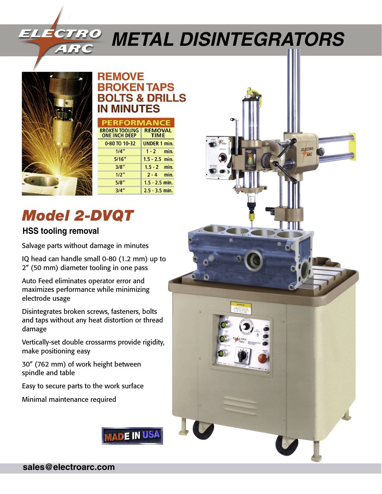# *Metal Disintegrators*

**ELECTRO** 



### **REMOVE BROKEN TAPS BOLTS & DRILLS IN MINUTES**

| <b>PERFORMANCE</b>                            |                               |
|-----------------------------------------------|-------------------------------|
| <b>BROKEN TOOLING</b><br><b>ONE INCH DEEP</b> | <b>REMOVAL</b><br><b>TIME</b> |
| 0-80 TO 10-32                                 | <b>UNDER 1 min.</b>           |
| 1/4"                                          | $1 - 2$ min.                  |
| 5/16''                                        | $1.5 - 2.5$ min.              |
| 3/8"                                          | $1.5 - 2$ min.                |
| 1/2"                                          | $2 - 4$ min.                  |
| 5/8"                                          | $1.5 - 2.5$ min.              |
| 3/4"                                          | $2.5 - 3.5$ min.              |

## *Model 2-DVQT*

#### **HSS tooling removal**

Salvage parts without damage in minutes

IQ head can handle small 0-80 (1.2 mm) up to 2" (50 mm) diameter tooling in one pass

Auto Feed eliminates operator error and maximizes performance while minimizing electrode usage

Disintegrates broken screws, fasteners, bolts and taps without any heat distortion or thread damage

Vertically-set double crossarms provide rigidity, make positioning easy

30" (762 mm) of work height between spindle and table

Easy to secure parts to the work surface

Minimal maintenance required